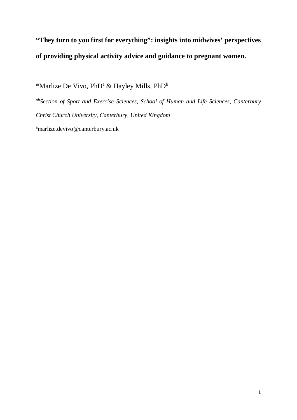# **"They turn to you first for everything": insights into midwives' perspectives of providing physical activity advice and guidance to pregnant women.**

\*Marlize De Vivo, PhD<sup>a</sup> & Hayley Mills, PhD<sup>b</sup>

*ab Section of Sport and Exercise Sciences, School of Human and Life Sciences, Canterbury Christ Church University, Canterbury, United Kingdom*

a marlize.devivo@canterbury.ac.uk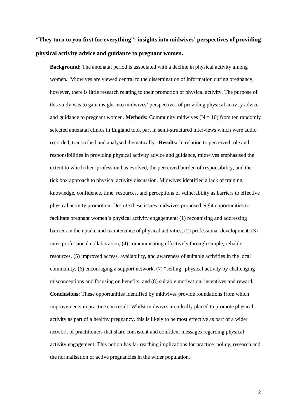# **"They turn to you first for everything": insights into midwives' perspectives of providing physical activity advice and guidance to pregnant women.**

**Background:** The antenatal period is associated with a decline in physical activity among women. Midwives are viewed central to the dissemination of information during pregnancy, however, there is little research relating to their promotion of physical activity. The purpose of this study was to gain insight into midwives' perspectives of providing physical activity advice and guidance to pregnant women. **Methods:** Community midwives  $(N = 10)$  from ten randomly selected antenatal clinics in England took part in semi-structured interviews which were audio recorded, transcribed and analysed thematically. **Results:** In relation to perceived role and responsibilities in providing physical activity advice and guidance, midwives emphasised the extent to which their profession has evolved, the perceived burden of responsibility, and the tick box approach to physical activity discussion. Midwives identified a lack of training, knowledge, confidence, time, resources, and perceptions of vulnerability as barriers to effective physical activity promotion. Despite these issues midwives proposed eight opportunities to facilitate pregnant women's physical activity engagement: (1) recognising and addressing barriers in the uptake and maintenance of physical activities, (2) professional development, (3) inter-professional collaboration, (4) communicating effectively through simple, reliable resources, (5) improved access, availability, and awareness of suitable activities in the local community, (6) encouraging a support network, (7) "selling" physical activity by challenging misconceptions and focusing on benefits, and (8) suitable motivation, incentives and reward. **Conclusions:** These opportunities identified by midwives provide foundations from which improvements in practice can result. Whilst midwives are ideally placed to promote physical activity as part of a healthy pregnancy, this is likely to be most effective as part of a wider network of practitioners that share consistent and confident messages regarding physical activity engagement. This notion has far reaching implications for practice, policy, research and the normalisation of active pregnancies in the wider population.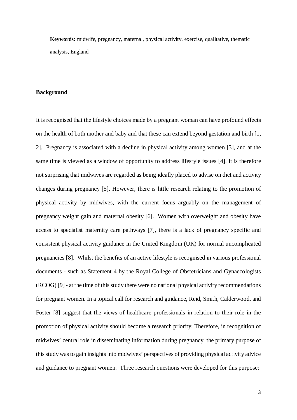**Keywords:** midwife, pregnancy, maternal, physical activity, exercise, qualitative, thematic analysis, England

# **Background**

It is recognised that the lifestyle choices made by a pregnant woman can have profound effects on the health of both mother and baby and that these can extend beyond gestation and birth [1, 2]. Pregnancy is associated with a decline in physical activity among women [3], and at the same time is viewed as a window of opportunity to address lifestyle issues [4]. It is therefore not surprising that midwives are regarded as being ideally placed to advise on diet and activity changes during pregnancy [5]. However, there is little research relating to the promotion of physical activity by midwives, with the current focus arguably on the management of pregnancy weight gain and maternal obesity [6]. Women with overweight and obesity have access to specialist maternity care pathways [7], there is a lack of pregnancy specific and consistent physical activity guidance in the United Kingdom (UK) for normal uncomplicated pregnancies [8]. Whilst the benefits of an active lifestyle is recognised in various professional documents - such as Statement 4 by the Royal College of Obstetricians and Gynaecologists (RCOG) [9] - at the time of this study there were no national physical activity recommendations for pregnant women. In a topical call for research and guidance, Reid, Smith, Calderwood, and Foster [8] suggest that the views of healthcare professionals in relation to their role in the promotion of physical activity should become a research priority. Therefore, in recognition of midwives' central role in disseminating information during pregnancy, the primary purpose of this study wasto gain insights into midwives' perspectives of providing physical activity advice and guidance to pregnant women. Three research questions were developed for this purpose: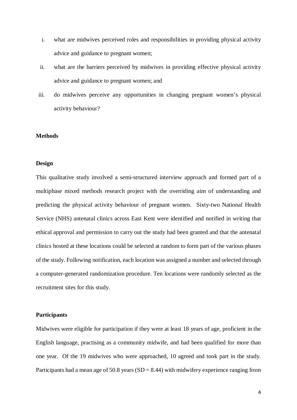- i. what are midwives perceived roles and responsibilities in providing physical activity advice and guidance to pregnant women;
- ii. what are the barriers perceived by midwives in providing effective physical activity advice and guidance to pregnant women; and
- iii. do midwives perceive any opportunities in changing pregnant women's physical activity behaviour?

#### **Methods**

#### **Design**

This qualitative study involved a semi-structured interview approach and formed part of a multiphase mixed methods research project with the overriding aim of understanding and predicting the physical activity behaviour of pregnant women. Sixty-two National Health Service (NHS) antenatal clinics across East Kent were identified and notified in writing that ethical approval and permission to carry out the study had been granted and that the antenatal clinics hosted at these locations could be selected at random to form part of the various phases of the study. Following notification, each location was assigned a number and selected through a computer-generated randomization procedure. Ten locations were randomly selected as the recruitment sites for this study.

#### **Participants**

Midwives were eligible for participation if they were at least 18 years of age, proficient in the English language, practising as a community midwife, and had been qualified for more than one year. Of the 19 midwives who were approached, 10 agreed and took part in the study. Participants had a mean age of  $50.8$  years (SD = 8.44) with midwifery experience ranging from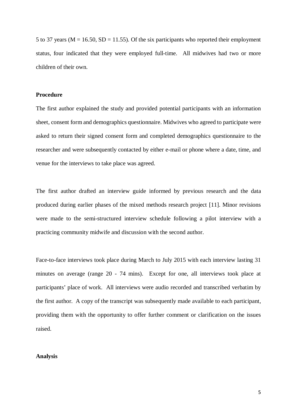5 to 37 years ( $M = 16.50$ ,  $SD = 11.55$ ). Of the six participants who reported their employment status, four indicated that they were employed full-time. All midwives had two or more children of their own.

#### **Procedure**

The first author explained the study and provided potential participants with an information sheet, consent form and demographics questionnaire. Midwives who agreed to participate were asked to return their signed consent form and completed demographics questionnaire to the researcher and were subsequently contacted by either e-mail or phone where a date, time, and venue for the interviews to take place was agreed.

The first author drafted an interview guide informed by previous research and the data produced during earlier phases of the mixed methods research project [11]. Minor revisions were made to the semi-structured interview schedule following a pilot interview with a practicing community midwife and discussion with the second author.

Face-to-face interviews took place during March to July 2015 with each interview lasting 31 minutes on average (range 20 - 74 mins). Except for one, all interviews took place at participants' place of work. All interviews were audio recorded and transcribed verbatim by the first author. A copy of the transcript was subsequently made available to each participant, providing them with the opportunity to offer further comment or clarification on the issues raised.

#### **Analysis**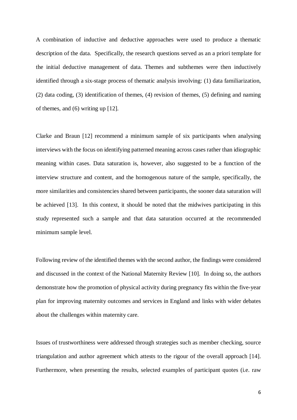A combination of inductive and deductive approaches were used to produce a thematic description of the data. Specifically, the research questions served as an a priori template for the initial deductive management of data. Themes and subthemes were then inductively identified through a six-stage process of thematic analysis involving: (1) data familiarization, (2) data coding, (3) identification of themes, (4) revision of themes, (5) defining and naming of themes, and (6) writing up [12].

Clarke and Braun [12] recommend a minimum sample of six participants when analysing interviews with the focus on identifying patterned meaning across cases rather than idiographic meaning within cases. Data saturation is, however, also suggested to be a function of the interview structure and content, and the homogenous nature of the sample, specifically, the more similarities and consistencies shared between participants, the sooner data saturation will be achieved [13]. In this context, it should be noted that the midwives participating in this study represented such a sample and that data saturation occurred at the recommended minimum sample level.

Following review of the identified themes with the second author, the findings were considered and discussed in the context of the National Maternity Review [10]. In doing so, the authors demonstrate how the promotion of physical activity during pregnancy fits within the five-year plan for improving maternity outcomes and services in England and links with wider debates about the challenges within maternity care.

Issues of trustworthiness were addressed through strategies such as member checking, source triangulation and author agreement which attests to the rigour of the overall approach [14]. Furthermore, when presenting the results, selected examples of participant quotes (i.e. raw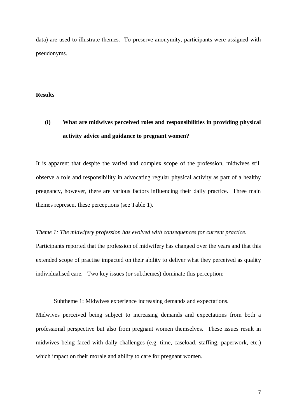data) are used to illustrate themes. To preserve anonymity, participants were assigned with pseudonyms.

# **Results**

# **(i) What are midwives perceived roles and responsibilities in providing physical activity advice and guidance to pregnant women?**

It is apparent that despite the varied and complex scope of the profession, midwives still observe a role and responsibility in advocating regular physical activity as part of a healthy pregnancy, however, there are various factors influencing their daily practice. Three main themes represent these perceptions (see Table 1).

#### *Theme 1: The midwifery profession has evolved with consequences for current practice.*

Participants reported that the profession of midwifery has changed over the years and that this extended scope of practise impacted on their ability to deliver what they perceived as quality individualised care. Two key issues (or subthemes) dominate this perception:

Subtheme 1: Midwives experience increasing demands and expectations.

Midwives perceived being subject to increasing demands and expectations from both a professional perspective but also from pregnant women themselves. These issues result in midwives being faced with daily challenges (e.g. time, caseload, staffing, paperwork, etc.) which impact on their morale and ability to care for pregnant women.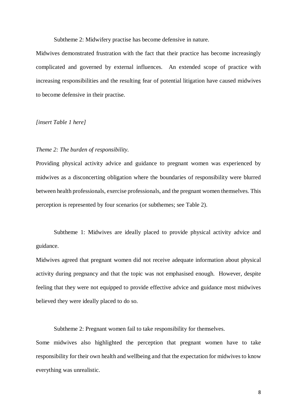Subtheme 2: Midwifery practise has become defensive in nature.

Midwives demonstrated frustration with the fact that their practice has become increasingly complicated and governed by external influences. An extended scope of practice with increasing responsibilities and the resulting fear of potential litigation have caused midwives to become defensive in their practise.

#### *[insert Table 1 here]*

# *Theme 2: The burden of responsibility.*

Providing physical activity advice and guidance to pregnant women was experienced by midwives as a disconcerting obligation where the boundaries of responsibility were blurred between health professionals, exercise professionals, and the pregnant women themselves. This perception is represented by four scenarios (or subthemes; see Table 2).

Subtheme 1: Midwives are ideally placed to provide physical activity advice and guidance.

Midwives agreed that pregnant women did not receive adequate information about physical activity during pregnancy and that the topic was not emphasised enough. However, despite feeling that they were not equipped to provide effective advice and guidance most midwives believed they were ideally placed to do so.

Subtheme 2: Pregnant women fail to take responsibility for themselves.

Some midwives also highlighted the perception that pregnant women have to take responsibility for their own health and wellbeing and that the expectation for midwives to know everything was unrealistic.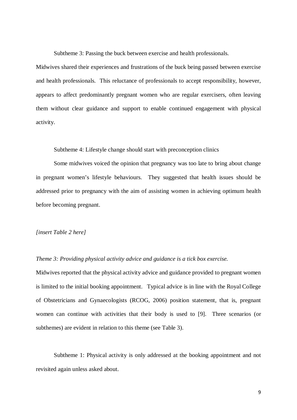Subtheme 3: Passing the buck between exercise and health professionals.

Midwives shared their experiences and frustrations of the buck being passed between exercise and health professionals. This reluctance of professionals to accept responsibility, however, appears to affect predominantly pregnant women who are regular exercisers, often leaving them without clear guidance and support to enable continued engagement with physical activity.

Subtheme 4: Lifestyle change should start with preconception clinics

Some midwives voiced the opinion that pregnancy was too late to bring about change in pregnant women's lifestyle behaviours. They suggested that health issues should be addressed prior to pregnancy with the aim of assisting women in achieving optimum health before becoming pregnant.

### *[insert Table 2 here]*

# *Theme 3: Providing physical activity advice and guidance is a tick box exercise.*

Midwives reported that the physical activity advice and guidance provided to pregnant women is limited to the initial booking appointment. Typical advice is in line with the Royal College of Obstetricians and Gynaecologists (RCOG, 2006) position statement, that is, pregnant women can continue with activities that their body is used to [9]. Three scenarios (or subthemes) are evident in relation to this theme (see Table 3).

Subtheme 1: Physical activity is only addressed at the booking appointment and not revisited again unless asked about.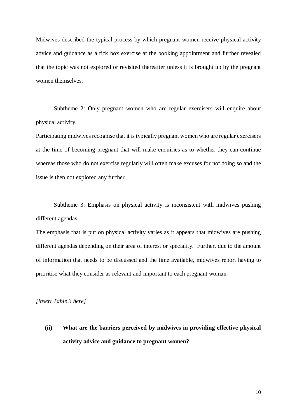Midwives described the typical process by which pregnant women receive physical activity advice and guidance as a tick box exercise at the booking appointment and further revealed that the topic was not explored or revisited thereafter unless it is brought up by the pregnant women themselves.

Subtheme 2: Only pregnant women who are regular exercisers will enquire about physical activity.

Participating midwives recognise that it is typically pregnant women who are regular exercisers at the time of becoming pregnant that will make enquiries as to whether they can continue whereas those who do not exercise regularly will often make excuses for not doing so and the issue is then not explored any further.

Subtheme 3: Emphasis on physical activity is inconsistent with midwives pushing different agendas.

The emphasis that is put on physical activity varies as it appears that midwives are pushing different agendas depending on their area of interest or speciality. Further, due to the amount of information that needs to be discussed and the time available, midwives report having to prioritise what they consider as relevant and important to each pregnant woman.

*[insert Table 3 here]*

**(ii) What are the barriers perceived by midwives in providing effective physical activity advice and guidance to pregnant women?**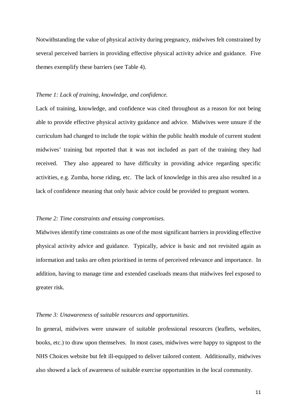Notwithstanding the value of physical activity during pregnancy, midwives felt constrained by several perceived barriers in providing effective physical activity advice and guidance. Five themes exemplify these barriers (see Table 4).

#### *Theme 1: Lack of training, knowledge, and confidence.*

Lack of training, knowledge, and confidence was cited throughout as a reason for not being able to provide effective physical activity guidance and advice. Midwives were unsure if the curriculum had changed to include the topic within the public health module of current student midwives' training but reported that it was not included as part of the training they had received. They also appeared to have difficulty in providing advice regarding specific activities, e.g. Zumba, horse riding, etc. The lack of knowledge in this area also resulted in a lack of confidence meaning that only basic advice could be provided to pregnant women.

#### *Theme 2: Time constraints and ensuing compromises.*

Midwives identify time constraints as one of the most significant barriers in providing effective physical activity advice and guidance. Typically, advice is basic and not revisited again as information and tasks are often prioritised in terms of perceived relevance and importance. In addition, having to manage time and extended caseloads means that midwives feel exposed to greater risk.

#### *Theme 3: Unawareness of suitable resources and opportunities.*

In general, midwives were unaware of suitable professional resources (leaflets, websites, books, etc.) to draw upon themselves. In most cases, midwives were happy to signpost to the NHS Choices website but felt ill-equipped to deliver tailored content. Additionally, midwives also showed a lack of awareness of suitable exercise opportunities in the local community.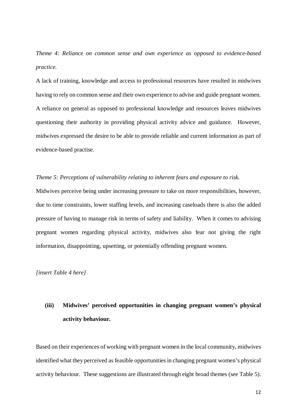*Theme 4: Reliance on common sense and own experience as opposed to evidence-based practice.*

A lack of training, knowledge and access to professional resources have resulted in midwives having to rely on common sense and their own experience to advise and guide pregnant women. A reliance on general as opposed to professional knowledge and resources leaves midwives questioning their authority in providing physical activity advice and guidance. However, midwives expressed the desire to be able to provide reliable and current information as part of evidence-based practise.

#### *Theme 5: Perceptions of vulnerability relating to inherent fears and exposure to risk.*

Midwives perceive being under increasing pressure to take on more responsibilities, however, due to time constraints, lower staffing levels, and increasing caseloads there is also the added pressure of having to manage risk in terms of safety and liability. When it comes to advising pregnant women regarding physical activity, midwives also fear not giving the right information, disappointing, upsetting, or potentially offending pregnant women.

*[insert Table 4 here]*

# **(iii) Midwives' perceived opportunities in changing pregnant women's physical activity behaviour.**

Based on their experiences of working with pregnant women in the local community, midwives identified what they perceived as feasible opportunities in changing pregnant women's physical activity behaviour. These suggestions are illustrated through eight broad themes (see Table 5).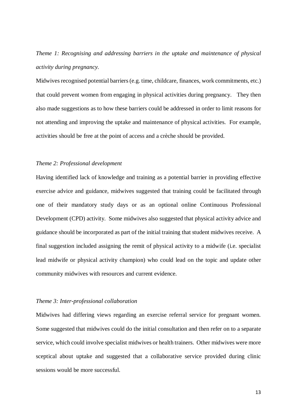*Theme 1: Recognising and addressing barriers in the uptake and maintenance of physical activity during pregnancy.*

Midwives recognised potential barriers (e.g. time, childcare, finances, work commitments, etc.) that could prevent women from engaging in physical activities during pregnancy. They then also made suggestions as to how these barriers could be addressed in order to limit reasons for not attending and improving the uptake and maintenance of physical activities. For example, activities should be free at the point of access and a crèche should be provided.

#### *Theme 2: Professional development*

Having identified lack of knowledge and training as a potential barrier in providing effective exercise advice and guidance, midwives suggested that training could be facilitated through one of their mandatory study days or as an optional online Continuous Professional Development (CPD) activity. Some midwives also suggested that physical activity advice and guidance should be incorporated as part of the initial training that student midwives receive. A final suggestion included assigning the remit of physical activity to a midwife (i.e. specialist lead midwife or physical activity champion) who could lead on the topic and update other community midwives with resources and current evidence.

#### *Theme 3: Inter-professional collaboration*

Midwives had differing views regarding an exercise referral service for pregnant women. Some suggested that midwives could do the initial consultation and then refer on to a separate service, which could involve specialist midwives or health trainers. Other midwives were more sceptical about uptake and suggested that a collaborative service provided during clinic sessions would be more successful.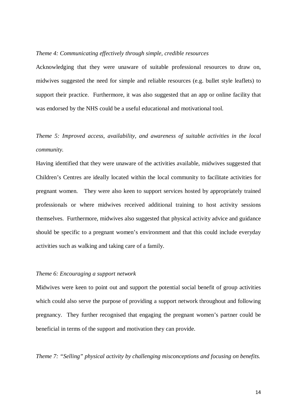#### *Theme 4: Communicating effectively through simple, credible resources*

Acknowledging that they were unaware of suitable professional resources to draw on, midwives suggested the need for simple and reliable resources (e.g. bullet style leaflets) to support their practice. Furthermore, it was also suggested that an app or online facility that was endorsed by the NHS could be a useful educational and motivational tool.

*Theme 5: Improved access, availability, and awareness of suitable activities in the local community.*

Having identified that they were unaware of the activities available, midwives suggested that Children's Centres are ideally located within the local community to facilitate activities for pregnant women. They were also keen to support services hosted by appropriately trained professionals or where midwives received additional training to host activity sessions themselves. Furthermore, midwives also suggested that physical activity advice and guidance should be specific to a pregnant women's environment and that this could include everyday activities such as walking and taking care of a family.

#### *Theme 6: Encouraging a support network*

Midwives were keen to point out and support the potential social benefit of group activities which could also serve the purpose of providing a support network throughout and following pregnancy. They further recognised that engaging the pregnant women's partner could be beneficial in terms of the support and motivation they can provide.

*Theme 7: "Selling" physical activity by challenging misconceptions and focusing on benefits.*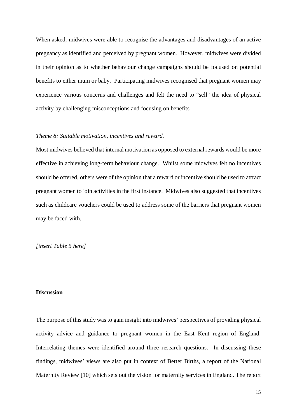When asked, midwives were able to recognise the advantages and disadvantages of an active pregnancy as identified and perceived by pregnant women. However, midwives were divided in their opinion as to whether behaviour change campaigns should be focused on potential benefits to either mum or baby. Participating midwives recognised that pregnant women may experience various concerns and challenges and felt the need to "sell" the idea of physical activity by challenging misconceptions and focusing on benefits.

#### *Theme 8: Suitable motivation, incentives and reward.*

Most midwives believed that internal motivation as opposed to external rewards would be more effective in achieving long-term behaviour change. Whilst some midwives felt no incentives should be offered, others were of the opinion that a reward or incentive should be used to attract pregnant women to join activities in the first instance. Midwives also suggested that incentives such as childcare vouchers could be used to address some of the barriers that pregnant women may be faced with.

*[insert Table 5 here]*

## **Discussion**

The purpose of this study was to gain insight into midwives' perspectives of providing physical activity advice and guidance to pregnant women in the East Kent region of England. Interrelating themes were identified around three research questions. In discussing these findings, midwives' views are also put in context of Better Births, a report of the National Maternity Review [10] which sets out the vision for maternity services in England. The report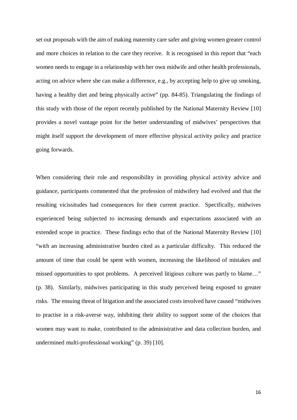set out proposals with the aim of making maternity care safer and giving women greater control and more choices in relation to the care they receive. It is recognised in this report that "each women needs to engage in a relationship with her own midwife and other health professionals, acting on advice where she can make a difference, e.g., by accepting help to give up smoking, having a healthy diet and being physically active" (pp. 84-85). Triangulating the findings of this study with those of the report recently published by the National Maternity Review [10] provides a novel vantage point for the better understanding of midwives' perspectives that might itself support the development of more effective physical activity policy and practice going forwards.

When considering their role and responsibility in providing physical activity advice and guidance, participants commented that the profession of midwifery had evolved and that the resulting vicissitudes had consequences for their current practice. Specifically, midwives experienced being subjected to increasing demands and expectations associated with an extended scope in practice. These findings echo that of the National Maternity Review [10] "with an increasing administrative burden cited as a particular difficulty. This reduced the amount of time that could be spent with women, increasing the likelihood of mistakes and missed opportunities to spot problems. A perceived litigious culture was partly to blame…" (p. 38). Similarly, midwives participating in this study perceived being exposed to greater risks. The ensuing threat of litigation and the associated costs involved have caused "midwives to practise in a risk-averse way, inhibiting their ability to support some of the choices that women may want to make, contributed to the administrative and data collection burden, and undermined multi-professional working" (p. 39) [10].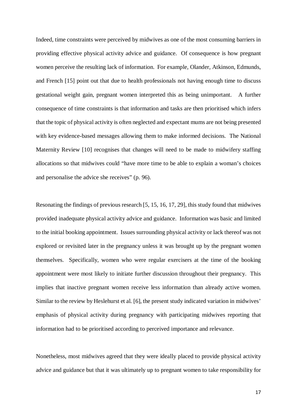Indeed, time constraints were perceived by midwives as one of the most consuming barriers in providing effective physical activity advice and guidance. Of consequence is how pregnant women perceive the resulting lack of information. For example, Olander, Atkinson, Edmunds, and French [15] point out that due to health professionals not having enough time to discuss gestational weight gain, pregnant women interpreted this as being unimportant. A further consequence of time constraints is that information and tasks are then prioritised which infers that the topic of physical activity is often neglected and expectant mums are not being presented with key evidence-based messages allowing them to make informed decisions. The National Maternity Review [10] recognises that changes will need to be made to midwifery staffing allocations so that midwives could "have more time to be able to explain a woman's choices and personalise the advice she receives" (p. 96).

Resonating the findings of previous research [5, 15, 16, 17, 29], this study found that midwives provided inadequate physical activity advice and guidance. Information was basic and limited to the initial booking appointment. Issues surrounding physical activity or lack thereof was not explored or revisited later in the pregnancy unless it was brought up by the pregnant women themselves. Specifically, women who were regular exercisers at the time of the booking appointment were most likely to initiate further discussion throughout their pregnancy. This implies that inactive pregnant women receive less information than already active women. Similar to the review by Heslehurst et al. [6], the present study indicated variation in midwives' emphasis of physical activity during pregnancy with participating midwives reporting that information had to be prioritised according to perceived importance and relevance.

Nonetheless, most midwives agreed that they were ideally placed to provide physical activity advice and guidance but that it was ultimately up to pregnant women to take responsibility for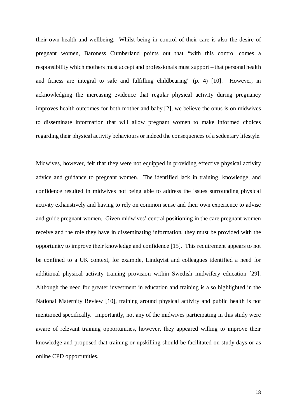their own health and wellbeing. Whilst being in control of their care is also the desire of pregnant women, Baroness Cumberland points out that "with this control comes a responsibility which mothers must accept and professionals must support – that personal health and fitness are integral to safe and fulfilling childbearing" (p. 4) [10]. However, in acknowledging the increasing evidence that regular physical activity during pregnancy improves health outcomes for both mother and baby [2], we believe the onus is on midwives to disseminate information that will allow pregnant women to make informed choices regarding their physical activity behaviours or indeed the consequences of a sedentary lifestyle.

Midwives, however, felt that they were not equipped in providing effective physical activity advice and guidance to pregnant women. The identified lack in training, knowledge, and confidence resulted in midwives not being able to address the issues surrounding physical activity exhaustively and having to rely on common sense and their own experience to advise and guide pregnant women. Given midwives' central positioning in the care pregnant women receive and the role they have in disseminating information, they must be provided with the opportunity to improve their knowledge and confidence [15]. This requirement appears to not be confined to a UK context, for example, Lindqvist and colleagues identified a need for additional physical activity training provision within Swedish midwifery education [29]. Although the need for greater investment in education and training is also highlighted in the National Maternity Review [10], training around physical activity and public health is not mentioned specifically. Importantly, not any of the midwives participating in this study were aware of relevant training opportunities, however, they appeared willing to improve their knowledge and proposed that training or upskilling should be facilitated on study days or as online CPD opportunities.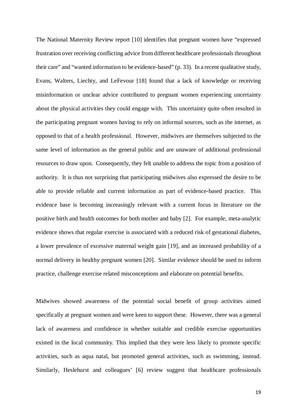The National Maternity Review report [10] identifies that pregnant women have "expressed frustration over receiving conflicting advice from different healthcare professionals throughout their care" and "wanted information to be evidence-based" (p. 33). In a recent qualitative study, Evans, Walters, Liechty, and LeFevour [18] found that a lack of knowledge or receiving misinformation or unclear advice contributed to pregnant women experiencing uncertainty about the physical activities they could engage with. This uncertainty quite often resulted in the participating pregnant women having to rely on informal sources, such as the internet, as opposed to that of a health professional. However, midwives are themselves subjected to the same level of information as the general public and are unaware of additional professional resources to draw upon. Consequently, they felt unable to address the topic from a position of authority. It is thus not surprising that participating midwives also expressed the desire to be able to provide reliable and current information as part of evidence-based practice. This evidence base is becoming increasingly relevant with a current focus in literature on the positive birth and health outcomes for both mother and baby [2]. For example, meta-analytic evidence shows that regular exercise is associated with a reduced risk of gestational diabetes, a lower prevalence of excessive maternal weight gain [19], and an increased probability of a normal delivery in healthy pregnant women [20]. Similar evidence should be used to inform practice, challenge exercise related misconceptions and elaborate on potential benefits.

Midwives showed awareness of the potential social benefit of group activities aimed specifically at pregnant women and were keen to support these. However, there was a general lack of awareness and confidence in whether suitable and credible exercise opportunities existed in the local community. This implied that they were less likely to promote specific activities, such as aqua natal, but promoted general activities, such as swimming, instead. Similarly, Heslehurst and colleagues' [6] review suggest that healthcare professionals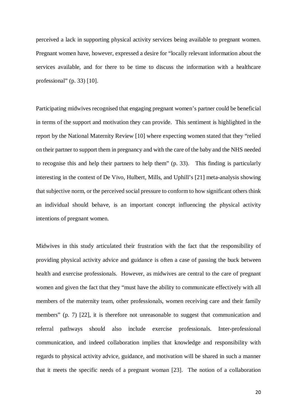perceived a lack in supporting physical activity services being available to pregnant women. Pregnant women have, however, expressed a desire for "locally relevant information about the services available, and for there to be time to discuss the information with a healthcare professional" (p. 33) [10].

Participating midwives recognised that engaging pregnant women's partner could be beneficial in terms of the support and motivation they can provide. This sentiment is highlighted in the report by the National Maternity Review [10] where expecting women stated that they "relied on their partner to support them in pregnancy and with the care of the baby and the NHS needed to recognise this and help their partners to help them" (p. 33). This finding is particularly interesting in the context of De Vivo, Hulbert, Mills, and Uphill's [21] meta-analysis showing that subjective norm, or the perceived social pressure to conform to how significant others think an individual should behave, is an important concept influencing the physical activity intentions of pregnant women.

Midwives in this study articulated their frustration with the fact that the responsibility of providing physical activity advice and guidance is often a case of passing the buck between health and exercise professionals. However, as midwives are central to the care of pregnant women and given the fact that they "must have the ability to communicate effectively with all members of the maternity team, other professionals, women receiving care and their family members" (p. 7) [22], it is therefore not unreasonable to suggest that communication and referral pathways should also include exercise professionals. Inter-professional communication, and indeed collaboration implies that knowledge and responsibility with regards to physical activity advice, guidance, and motivation will be shared in such a manner that it meets the specific needs of a pregnant woman [23]. The notion of a collaboration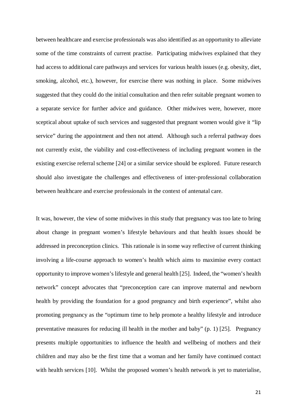between healthcare and exercise professionals was also identified as an opportunity to alleviate some of the time constraints of current practise. Participating midwives explained that they had access to additional care pathways and services for various health issues (e.g. obesity, diet, smoking, alcohol, etc.), however, for exercise there was nothing in place. Some midwives suggested that they could do the initial consultation and then refer suitable pregnant women to a separate service for further advice and guidance. Other midwives were, however, more sceptical about uptake of such services and suggested that pregnant women would give it "lip service" during the appointment and then not attend. Although such a referral pathway does not currently exist, the viability and cost-effectiveness of including pregnant women in the existing exercise referral scheme [24] or a similar service should be explored. Future research should also investigate the challenges and effectiveness of inter-professional collaboration between healthcare and exercise professionals in the context of antenatal care.

It was, however, the view of some midwives in this study that pregnancy was too late to bring about change in pregnant women's lifestyle behaviours and that health issues should be addressed in preconception clinics. This rationale is in some way reflective of current thinking involving a life-course approach to women's health which aims to maximise every contact opportunity to improve women's lifestyle and general health [25]. Indeed, the "women's health network" concept advocates that "preconception care can improve maternal and newborn health by providing the foundation for a good pregnancy and birth experience", whilst also promoting pregnancy as the "optimum time to help promote a healthy lifestyle and introduce preventative measures for reducing ill health in the mother and baby" (p. 1) [25]. Pregnancy presents multiple opportunities to influence the health and wellbeing of mothers and their children and may also be the first time that a woman and her family have continued contact with health services [10]. Whilst the proposed women's health network is yet to materialise,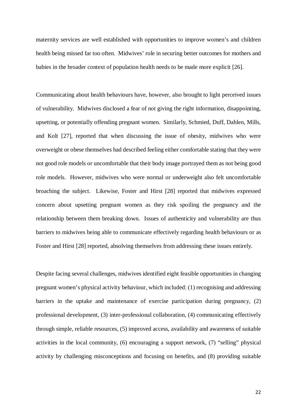maternity services are well established with opportunities to improve women's and children health being missed far too often. Midwives' role in securing better outcomes for mothers and babies in the broader context of population health needs to be made more explicit [26].

Communicating about health behaviours have, however, also brought to light perceived issues of vulnerability. Midwives disclosed a fear of not giving the right information, disappointing, upsetting, or potentially offending pregnant women. Similarly, Schmied, Duff, Dahlen, Mills, and Kolt [27], reported that when discussing the issue of obesity, midwives who were overweight or obese themselves had described feeling either comfortable stating that they were not good role models or uncomfortable that their body image portrayed them as not being good role models. However, midwives who were normal or underweight also felt uncomfortable broaching the subject. Likewise, Foster and Hirst [28] reported that midwives expressed concern about upsetting pregnant women as they risk spoiling the pregnancy and the relationship between them breaking down. Issues of authenticity and vulnerability are thus barriers to midwives being able to communicate effectively regarding health behaviours or as Foster and Hirst [28] reported, absolving themselves from addressing these issues entirely.

Despite facing several challenges, midwives identified eight feasible opportunities in changing pregnant women's physical activity behaviour, which included: (1) recognising and addressing barriers in the uptake and maintenance of exercise participation during pregnancy, (2) professional development, (3) inter-professional collaboration, (4) communicating effectively through simple, reliable resources, (5) improved access, availability and awareness of suitable activities in the local community, (6) encouraging a support network, (7) "selling" physical activity by challenging misconceptions and focusing on benefits, and (8) providing suitable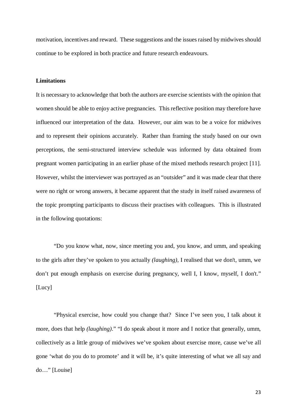motivation, incentives and reward. These suggestions and the issues raised by midwives should continue to be explored in both practice and future research endeavours.

# **Limitations**

It is necessary to acknowledge that both the authors are exercise scientists with the opinion that women should be able to enjoy active pregnancies. This reflective position may therefore have influenced our interpretation of the data. However, our aim was to be a voice for midwives and to represent their opinions accurately. Rather than framing the study based on our own perceptions, the semi-structured interview schedule was informed by data obtained from pregnant women participating in an earlier phase of the mixed methods research project [11]. However, whilst the interviewer was portrayed as an "outsider" and it was made clear that there were no right or wrong answers, it became apparent that the study in itself raised awareness of the topic prompting participants to discuss their practises with colleagues. This is illustrated in the following quotations:

"Do you know what, now, since meeting you and, you know, and umm, and speaking to the girls after they've spoken to you actually *(laughing),* I realised that we don't, umm, we don't put enough emphasis on exercise during pregnancy, well I, I know, myself, I don't." [Lucy]

"Physical exercise, how could you change that? Since I've seen you, I talk about it more, does that help *(laughing)*." "I do speak about it more and I notice that generally, umm, collectively as a little group of midwives we've spoken about exercise more, cause we've all gone 'what do you do to promote' and it will be, it's quite interesting of what we all say and do…" [Louise]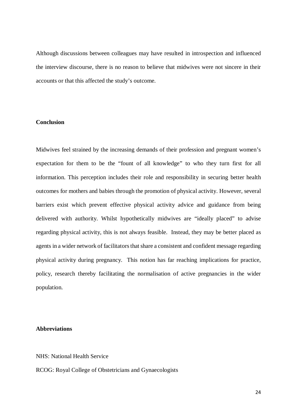Although discussions between colleagues may have resulted in introspection and influenced the interview discourse, there is no reason to believe that midwives were not sincere in their accounts or that this affected the study's outcome.

#### **Conclusion**

Midwives feel strained by the increasing demands of their profession and pregnant women's expectation for them to be the "fount of all knowledge" to who they turn first for all information. This perception includes their role and responsibility in securing better health outcomes for mothers and babies through the promotion of physical activity. However, several barriers exist which prevent effective physical activity advice and guidance from being delivered with authority. Whilst hypothetically midwives are "ideally placed" to advise regarding physical activity, this is not always feasible. Instead, they may be better placed as agents in a wider network of facilitators that share a consistent and confident message regarding physical activity during pregnancy. This notion has far reaching implications for practice, policy, research thereby facilitating the normalisation of active pregnancies in the wider population.

# **Abbreviations**

#### NHS: National Health Service

RCOG: Royal College of Obstetricians and Gynaecologists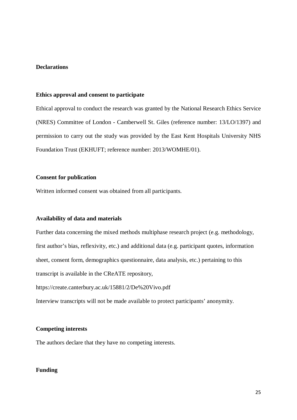#### **Declarations**

#### **Ethics approval and consent to participate**

Ethical approval to conduct the research was granted by the National Research Ethics Service (NRES) Committee of London - Camberwell St. Giles (reference number: 13/LO/1397) and permission to carry out the study was provided by the East Kent Hospitals University NHS Foundation Trust (EKHUFT; reference number: 2013/WOMHE/01).

# **Consent for publication**

Written informed consent was obtained from all participants.

#### **Availability of data and materials**

Further data concerning the mixed methods multiphase research project (e.g. methodology, first author's bias, reflexivity, etc.) and additional data (e.g. participant quotes, information sheet, consent form, demographics questionnaire, data analysis, etc.) pertaining to this transcript is available in the CReATE repository,

https://create.canterbury.ac.uk/15881/2/De%20Vivo.pdf

Interview transcripts will not be made available to protect participants' anonymity.

#### **Competing interests**

The authors declare that they have no competing interests.

# **Funding**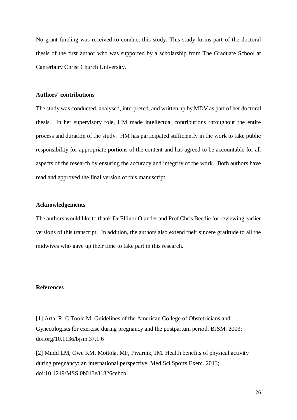No grant funding was received to conduct this study. This study forms part of the doctoral thesis of the first author who was supported by a scholarship from The Graduate School at Canterbury Christ Church University.

#### **Authors' contributions**

The study was conducted, analysed, interpreted, and written up by MDV as part of her doctoral thesis. In her supervisory role, HM made intellectual contributions throughout the entire process and duration of the study. HM has participated sufficiently in the work to take public responsibility for appropriate portions of the content and has agreed to be accountable for all aspects of the research by ensuring the accuracy and integrity of the work. Both authors have read and approved the final version of this manuscript.

# **Acknowledgements**

The authors would like to thank Dr Ellinor Olander and Prof Chris Beedie for reviewing earlier versions of this transcript. In addition, the authors also extend their sincere gratitude to all the midwives who gave up their time to take part in this research.

# **References**

[1] Artal R, O'Toole M. Guidelines of the American College of Obstetricians and Gynecologists for exercise during pregnancy and the postpartum period. BJSM. 2003; doi.org/10.1136/bjsm.37.1.6

[2] Mudd LM, Owe KM, Mottola, MF, Pivarnik, JM. Health benefits of physical activity during pregnancy: an international perspective. Med Sci Sports Exerc. 2013; doi:10.1249/MSS.0b013e31826cebcb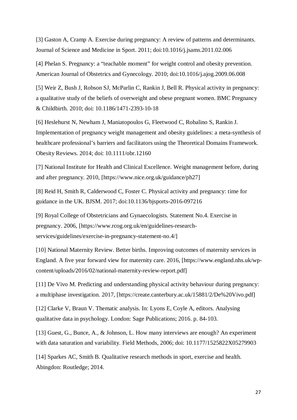[3] Gaston A, Cramp A. Exercise during pregnancy: A review of patterns and determinants. Journal of Science and Medicine in Sport. 2011; doi:10.1016/j.jsams.2011.02.006

[4] Phelan S. Pregnancy: a "teachable moment" for weight control and obesity prevention. American Journal of Obstetrics and Gynecology. 2010; doi:10.1016/j.ajog.2009.06.008

[5] Weir Z, Bush J, Robson SJ, McParlin C, Rankin J, Bell R. Physical activity in pregnancy: a qualitative study of the beliefs of overweight and obese pregnant women. BMC Pregnancy & Childbirth. 2010; doi: 10.1186/1471-2393-10-18

[6] Heslehurst N, Newham J, Maniatopoulos G, Fleetwood C, Robalino S, Rankin J. Implementation of pregnancy weight management and obesity guidelines: a meta-synthesis of healthcare professional's barriers and facilitators using the Theoretical Domains Framework. Obesity Reviews. 2014; doi: 10.1111/obr.12160

[7] National Institute for Health and Clinical Excellence. Weight management before, during and after pregnancy. 2010, [https://www.nice.org.uk/guidance/ph27]

[8] Reid H, Smith R, Calderwood C, Foster C. Physical activity and pregnancy: time for guidance in the UK. BJSM. 2017; doi:10.1136/bjsports-2016-097216

[9] Royal College of Obstetricians and Gynaecologists. Statement No.4. Exercise in pregnancy. 2006, [https://www.rcog.org.uk/en/guidelines-researchservices/guidelines/exercise-in-pregnancy-statement-no.4/]

[10] National Maternity Review. Better births. Improving outcomes of maternity services in England. A five year forward view for maternity care. 2016, [https://www.england.nhs.uk/wpcontent/uploads/2016/02/national-maternity-review-report.pdf]

[11] De Vivo M. Predicting and understanding physical activity behaviour during pregnancy: a multiphase investigation. 2017, [https://create.canterbury.ac.uk/15881/2/De%20Vivo.pdf]

[12] Clarke V, Braun V. Thematic analysis. In: Lyons E, Coyle A, editors. Analysing qualitative data in psychology. London: Sage Publications; 2016. p. 84-103.

[13] Guest, G., Bunce, A., & Johnson, L. How many interviews are enough? An experiment with data saturation and variability. Field Methods, 2006; doi: 10.1177/1525822X05279903

[14] Sparkes AC, Smith B. Qualitative research methods in sport, exercise and health. Abingdon: Routledge; 2014.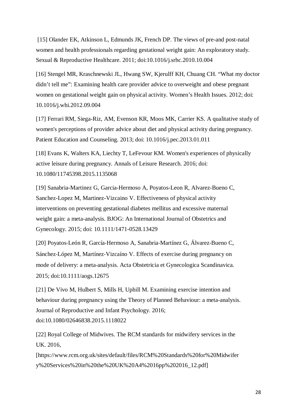[15] Olander EK, Atkinson L, Edmunds JK, French DP. The views of pre-and post-natal women and health professionals regarding gestational weight gain: An exploratory study. Sexual & Reproductive Healthcare. 2011; doi:10.1016/j.srhc.2010.10.004

[16] Stengel MR, Kraschnewski JL, Hwang SW, Kjerulff KH, Chuang CH. "What my doctor didn't tell me": Examining health care provider advice to overweight and obese pregnant women on gestational weight gain on physical activity. Women's Health Issues. 2012; doi: 10.1016/j.whi.2012.09.004

[17] Ferrari RM, Siega-Riz, AM, Evenson KR, Moos MK, Carrier KS. A qualitative study of women's perceptions of provider advice about diet and physical activity during pregnancy. Patient Education and Counseling. 2013; doi: 10.1016/j.pec.2013.01.011

[18] Evans K, Walters KA, Liechty T, LeFevour KM. Women's experiences of physically active leisure during pregnancy. Annals of Leisure Research. 2016; doi: 10.1080/11745398.2015.1135068

[19] Sanabria-Martinez G, Garcia-Hermoso A, Poyatos-Leon R, Alvarez-Bueno C, Sanchez-Lopez M, Martinez-Vizcaino V. Effectiveness of physical activity interventions on preventing gestational diabetes mellitus and excessive maternal weight gain: a meta-analysis. BJOG: An International Journal of Obstetrics and Gynecology. 2015; doi: 10.1111/1471-0528.13429

[20] Poyatos‐León R, García‐Hermoso A, Sanabria‐Martínez G, Álvarez‐Bueno C, Sánchez‐López M, Martínez‐Vizcaíno V. Effects of exercise during pregnancy on mode of delivery: a meta‐analysis. Acta Obstetricia et Gynecologica Scandinavica. 2015; doi:10.1111/aogs.12675

[21] De Vivo M, Hulbert S, Mills H, Uphill M. Examining exercise intention and behaviour during pregnancy using the Theory of Planned Behaviour: a meta-analysis. Journal of Reproductive and Infant Psychology. 2016; doi:10.1080/02646838.2015.1118022

[22] Royal College of Midwives. The RCM standards for midwifery services in the UK. 2016,

[https://www.rcm.org.uk/sites/default/files/RCM%20Standards%20for%20Midwifer y%20Services%20in%20the%20UK%20A4%2016pp%202016\_12.pdf]